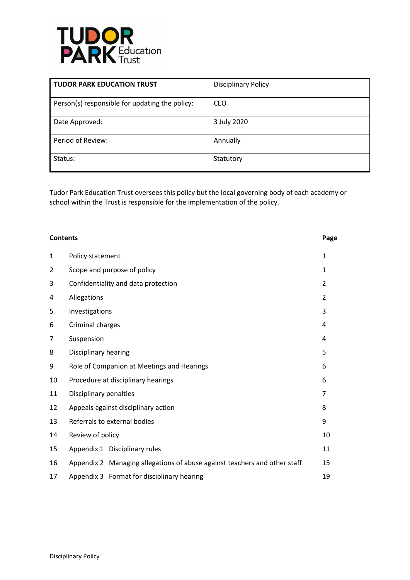

| <b>TUDOR PARK EDUCATION TRUST</b>              | <b>Disciplinary Policy</b> |
|------------------------------------------------|----------------------------|
| Person(s) responsible for updating the policy: | <b>CEO</b>                 |
| Date Approved:                                 | 3 July 2020                |
| Period of Review:                              | Annually                   |
| Status:                                        | Statutory                  |

Tudor Park Education Trust oversees this policy but the local governing body of each academy or school within the Trust is responsible for the implementation of the policy.

| <b>Contents</b> |                                                                           | Page           |
|-----------------|---------------------------------------------------------------------------|----------------|
| $\mathbf 1$     | Policy statement                                                          | 1              |
| 2               | Scope and purpose of policy                                               | $\mathbf{1}$   |
| 3               | Confidentiality and data protection                                       | $\overline{2}$ |
| 4               | Allegations                                                               | $\overline{2}$ |
| 5               | Investigations                                                            | 3              |
| 6               | Criminal charges                                                          | 4              |
| 7               | Suspension                                                                | 4              |
| 8               | Disciplinary hearing                                                      | 5              |
| 9               | Role of Companion at Meetings and Hearings                                | 6              |
| 10              | Procedure at disciplinary hearings                                        | 6              |
| 11              | Disciplinary penalties                                                    | 7              |
| 12              | Appeals against disciplinary action                                       | 8              |
| 13              | Referrals to external bodies                                              | 9              |
| 14              | Review of policy                                                          | 10             |
| 15              | Appendix 1 Disciplinary rules                                             | 11             |
| 16              | Appendix 2 Managing allegations of abuse against teachers and other staff | 15             |
| 17              | Appendix 3 Format for disciplinary hearing                                | 19             |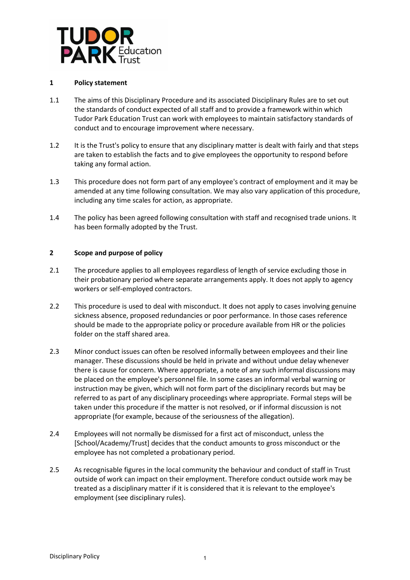

# **1 Policy statement**

- 1.1 The aims of this Disciplinary Procedure and its associated Disciplinary Rules are to set out the standards of conduct expected of all staff and to provide a framework within which Tudor Park Education Trust can work with employees to maintain satisfactory standards of conduct and to encourage improvement where necessary.
- 1.2 It is the Trust's policy to ensure that any disciplinary matter is dealt with fairly and that steps are taken to establish the facts and to give employees the opportunity to respond before taking any formal action.
- 1.3 This procedure does not form part of any employee's contract of employment and it may be amended at any time following consultation. We may also vary application of this procedure, including any time scales for action, as appropriate.
- 1.4 The policy has been agreed following consultation with staff and recognised trade unions. It has been formally adopted by the Trust.

# **2 Scope and purpose of policy**

- 2.1 The procedure applies to all employees regardless of length of service excluding those in their probationary period where separate arrangements apply. It does not apply to agency workers or self-employed contractors.
- 2.2 This procedure is used to deal with misconduct. It does not apply to cases involving genuine sickness absence, proposed redundancies or poor performance. In those cases reference should be made to the appropriate policy or procedure available from HR or the policies folder on the staff shared area.
- 2.3 Minor conduct issues can often be resolved informally between employees and their line manager. These discussions should be held in private and without undue delay whenever there is cause for concern. Where appropriate, a note of any such informal discussions may be placed on the employee's personnel file. In some cases an informal verbal warning or instruction may be given, which will not form part of the disciplinary records but may be referred to as part of any disciplinary proceedings where appropriate. Formal steps will be taken under this procedure if the matter is not resolved, or if informal discussion is not appropriate (for example, because of the seriousness of the allegation).
- 2.4 Employees will not normally be dismissed for a first act of misconduct, unless the [School/Academy/Trust] decides that the conduct amounts to gross misconduct or the employee has not completed a probationary period.
- 2.5 As recognisable figures in the local community the behaviour and conduct of staff in Trust outside of work can impact on their employment. Therefore conduct outside work may be treated as a disciplinary matter if it is considered that it is relevant to the employee's employment (see disciplinary rules).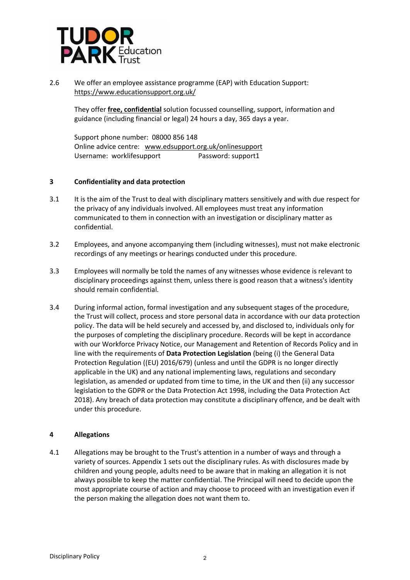

2.6 We offer an employee assistance programme (EAP) with Education Support: <https://www.educationsupport.org.uk/>

They offer **free, confidential** solution focussed counselling, support, information and guidance (including financial or legal) 24 hours a day, 365 days a year.

Support phone number: 08000 856 148 Online advice centre: [www.edsupport.org.uk/onlinesupport](http://www.edsupport.org.uk/onlinesupport) Username: worklifesupport Password: support1

# **3 Confidentiality and data protection**

- 3.1 It is the aim of the Trust to deal with disciplinary matters sensitively and with due respect for the privacy of any individuals involved. All employees must treat any information communicated to them in connection with an investigation or disciplinary matter as confidential.
- 3.2 Employees, and anyone accompanying them (including witnesses), must not make electronic recordings of any meetings or hearings conducted under this procedure.
- 3.3 Employees will normally be told the names of any witnesses whose evidence is relevant to disciplinary proceedings against them, unless there is good reason that a witness's identity should remain confidential.
- 3.4 During informal action, formal investigation and any subsequent stages of the procedure, the Trust will collect, process and store personal data in accordance with our data protection policy. The data will be held securely and accessed by, and disclosed to, individuals only for the purposes of completing the disciplinary procedure. Records will be kept in accordance with our Workforce Privacy Notice, our Management and Retention of Records Policy and in line with the requirements of **Data Protection Legislation** (being (i) the General Data Protection Regulation ((EU) 2016/679) (unless and until the GDPR is no longer directly applicable in the UK) and any national implementing laws, regulations and secondary legislation, as amended or updated from time to time, in the UK and then (ii) any successor legislation to the GDPR or the Data Protection Act 1998, including the Data Protection Act 2018). Any breach of data protection may constitute a disciplinary offence, and be dealt with under this procedure.

## **4 Allegations**

4.1 Allegations may be brought to the Trust's attention in a number of ways and through a variety of sources. Appendix 1 sets out the disciplinary rules. As with disclosures made by children and young people, adults need to be aware that in making an allegation it is not always possible to keep the matter confidential. The Principal will need to decide upon the most appropriate course of action and may choose to proceed with an investigation even if the person making the allegation does not want them to.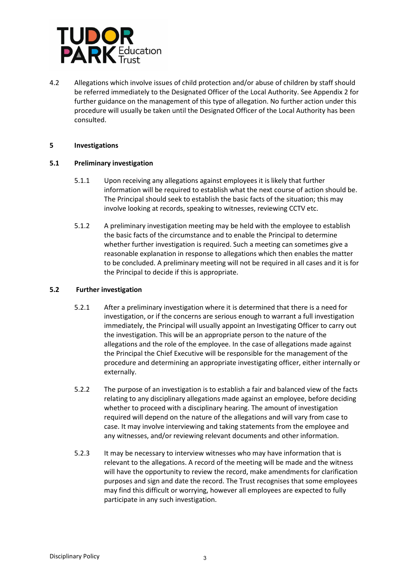

4.2 Allegations which involve issues of child protection and/or abuse of children by staff should be referred immediately to the Designated Officer of the Local Authority. See Appendix 2 for further guidance on the management of this type of allegation. No further action under this procedure will usually be taken until the Designated Officer of the Local Authority has been consulted.

# **5 Investigations**

# **5.1 Preliminary investigation**

- 5.1.1 Upon receiving any allegations against employees it is likely that further information will be required to establish what the next course of action should be. The Principal should seek to establish the basic facts of the situation; this may involve looking at records, speaking to witnesses, reviewing CCTV etc.
- 5.1.2 A preliminary investigation meeting may be held with the employee to establish the basic facts of the circumstance and to enable the Principal to determine whether further investigation is required. Such a meeting can sometimes give a reasonable explanation in response to allegations which then enables the matter to be concluded. A preliminary meeting will not be required in all cases and it is for the Principal to decide if this is appropriate.

# **5.2 Further investigation**

- 5.2.1 After a preliminary investigation where it is determined that there is a need for investigation, or if the concerns are serious enough to warrant a full investigation immediately, the Principal will usually appoint an Investigating Officer to carry out the investigation. This will be an appropriate person to the nature of the allegations and the role of the employee. In the case of allegations made against the Principal the Chief Executive will be responsible for the management of the procedure and determining an appropriate investigating officer, either internally or externally.
- 5.2.2 The purpose of an investigation is to establish a fair and balanced view of the facts relating to any disciplinary allegations made against an employee, before deciding whether to proceed with a disciplinary hearing. The amount of investigation required will depend on the nature of the allegations and will vary from case to case. It may involve interviewing and taking statements from the employee and any witnesses, and/or reviewing relevant documents and other information.
- 5.2.3 It may be necessary to interview witnesses who may have information that is relevant to the allegations. A record of the meeting will be made and the witness will have the opportunity to review the record, make amendments for clarification purposes and sign and date the record. The Trust recognises that some employees may find this difficult or worrying, however all employees are expected to fully participate in any such investigation.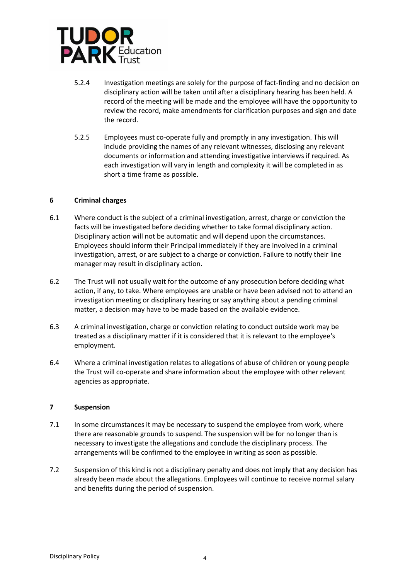

- 5.2.4 Investigation meetings are solely for the purpose of fact-finding and no decision on disciplinary action will be taken until after a disciplinary hearing has been held. A record of the meeting will be made and the employee will have the opportunity to review the record, make amendments for clarification purposes and sign and date the record.
- 5.2.5 Employees must co-operate fully and promptly in any investigation. This will include providing the names of any relevant witnesses, disclosing any relevant documents or information and attending investigative interviews if required. As each investigation will vary in length and complexity it will be completed in as short a time frame as possible.

# **6 Criminal charges**

- 6.1 Where conduct is the subject of a criminal investigation, arrest, charge or conviction the facts will be investigated before deciding whether to take formal disciplinary action. Disciplinary action will not be automatic and will depend upon the circumstances. Employees should inform their Principal immediately if they are involved in a criminal investigation, arrest, or are subject to a charge or conviction. Failure to notify their line manager may result in disciplinary action.
- 6.2 The Trust will not usually wait for the outcome of any prosecution before deciding what action, if any, to take. Where employees are unable or have been advised not to attend an investigation meeting or disciplinary hearing or say anything about a pending criminal matter, a decision may have to be made based on the available evidence.
- 6.3 A criminal investigation, charge or conviction relating to conduct outside work may be treated as a disciplinary matter if it is considered that it is relevant to the employee's employment.
- 6.4 Where a criminal investigation relates to allegations of abuse of children or young people the Trust will co-operate and share information about the employee with other relevant agencies as appropriate.

## **7 Suspension**

- 7.1 In some circumstances it may be necessary to suspend the employee from work, where there are reasonable grounds to suspend. The suspension will be for no longer than is necessary to investigate the allegations and conclude the disciplinary process. The arrangements will be confirmed to the employee in writing as soon as possible.
- 7.2 Suspension of this kind is not a disciplinary penalty and does not imply that any decision has already been made about the allegations. Employees will continue to receive normal salary and benefits during the period of suspension.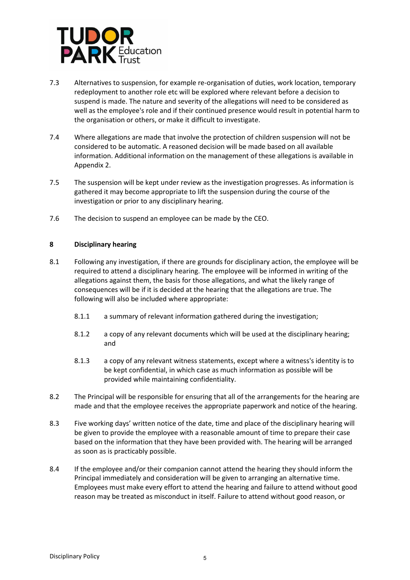

- 7.3 Alternatives to suspension, for example re-organisation of duties, work location, temporary redeployment to another role etc will be explored where relevant before a decision to suspend is made. The nature and severity of the allegations will need to be considered as well as the employee's role and if their continued presence would result in potential harm to the organisation or others, or make it difficult to investigate.
- 7.4 Where allegations are made that involve the protection of children suspension will not be considered to be automatic. A reasoned decision will be made based on all available information. Additional information on the management of these allegations is available in Appendix 2.
- 7.5 The suspension will be kept under review as the investigation progresses. As information is gathered it may become appropriate to lift the suspension during the course of the investigation or prior to any disciplinary hearing.
- 7.6 The decision to suspend an employee can be made by the CEO.

# **8 Disciplinary hearing**

- 8.1 Following any investigation, if there are grounds for disciplinary action, the employee will be required to attend a disciplinary hearing. The employee will be informed in writing of the allegations against them, the basis for those allegations, and what the likely range of consequences will be if it is decided at the hearing that the allegations are true. The following will also be included where appropriate:
	- 8.1.1 a summary of relevant information gathered during the investigation;
	- 8.1.2 a copy of any relevant documents which will be used at the disciplinary hearing; and
	- 8.1.3 a copy of any relevant witness statements, except where a witness's identity is to be kept confidential, in which case as much information as possible will be provided while maintaining confidentiality.
- 8.2 The Principal will be responsible for ensuring that all of the arrangements for the hearing are made and that the employee receives the appropriate paperwork and notice of the hearing.
- 8.3 Five working days' written notice of the date, time and place of the disciplinary hearing will be given to provide the employee with a reasonable amount of time to prepare their case based on the information that they have been provided with. The hearing will be arranged as soon as is practicably possible.
- 8.4 If the employee and/or their companion cannot attend the hearing they should inform the Principal immediately and consideration will be given to arranging an alternative time. Employees must make every effort to attend the hearing and failure to attend without good reason may be treated as misconduct in itself. Failure to attend without good reason, or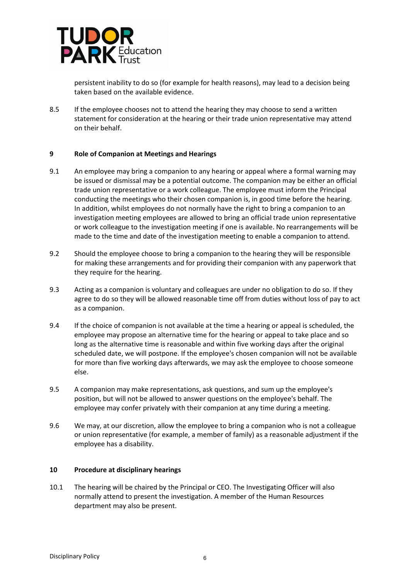

persistent inability to do so (for example for health reasons), may lead to a decision being taken based on the available evidence.

8.5 If the employee chooses not to attend the hearing they may choose to send a written statement for consideration at the hearing or their trade union representative may attend on their behalf.

## **9 Role of Companion at Meetings and Hearings**

- 9.1 An employee may bring a companion to any hearing or appeal where a formal warning may be issued or dismissal may be a potential outcome. The companion may be either an official trade union representative or a work colleague. The employee must inform the Principal conducting the meetings who their chosen companion is, in good time before the hearing. In addition, whilst employees do not normally have the right to bring a companion to an investigation meeting employees are allowed to bring an official trade union representative or work colleague to the investigation meeting if one is available. No rearrangements will be made to the time and date of the investigation meeting to enable a companion to attend.
- 9.2 Should the employee choose to bring a companion to the hearing they will be responsible for making these arrangements and for providing their companion with any paperwork that they require for the hearing.
- 9.3 Acting as a companion is voluntary and colleagues are under no obligation to do so. If they agree to do so they will be allowed reasonable time off from duties without loss of pay to act as a companion.
- 9.4 If the choice of companion is not available at the time a hearing or appeal is scheduled, the employee may propose an alternative time for the hearing or appeal to take place and so long as the alternative time is reasonable and within five working days after the original scheduled date, we will postpone. If the employee's chosen companion will not be available for more than five working days afterwards, we may ask the employee to choose someone else.
- 9.5 A companion may make representations, ask questions, and sum up the employee's position, but will not be allowed to answer questions on the employee's behalf. The employee may confer privately with their companion at any time during a meeting.
- 9.6 We may, at our discretion, allow the employee to bring a companion who is not a colleague or union representative (for example, a member of family) as a reasonable adjustment if the employee has a disability.

## **10 Procedure at disciplinary hearings**

10.1 The hearing will be chaired by the Principal or CEO. The Investigating Officer will also normally attend to present the investigation. A member of the Human Resources department may also be present.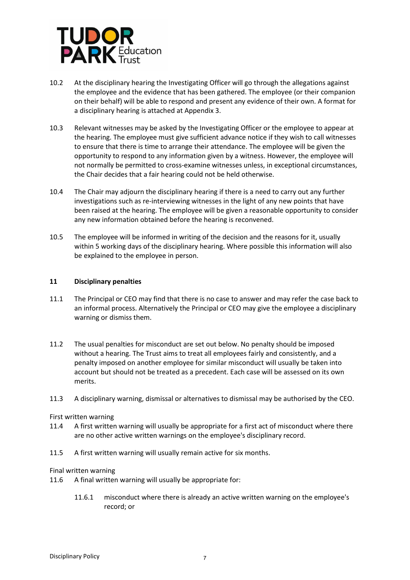

- 10.2 At the disciplinary hearing the Investigating Officer will go through the allegations against the employee and the evidence that has been gathered. The employee (or their companion on their behalf) will be able to respond and present any evidence of their own. A format for a disciplinary hearing is attached at Appendix 3.
- 10.3 Relevant witnesses may be asked by the Investigating Officer or the employee to appear at the hearing. The employee must give sufficient advance notice if they wish to call witnesses to ensure that there is time to arrange their attendance. The employee will be given the opportunity to respond to any information given by a witness. However, the employee will not normally be permitted to cross-examine witnesses unless, in exceptional circumstances, the Chair decides that a fair hearing could not be held otherwise.
- 10.4 The Chair may adjourn the disciplinary hearing if there is a need to carry out any further investigations such as re-interviewing witnesses in the light of any new points that have been raised at the hearing. The employee will be given a reasonable opportunity to consider any new information obtained before the hearing is reconvened.
- 10.5 The employee will be informed in writing of the decision and the reasons for it, usually within 5 working days of the disciplinary hearing. Where possible this information will also be explained to the employee in person.

## **11 Disciplinary penalties**

- 11.1 The Principal or CEO may find that there is no case to answer and may refer the case back to an informal process. Alternatively the Principal or CEO may give the employee a disciplinary warning or dismiss them.
- 11.2 The usual penalties for misconduct are set out below. No penalty should be imposed without a hearing. The Trust aims to treat all employees fairly and consistently, and a penalty imposed on another employee for similar misconduct will usually be taken into account but should not be treated as a precedent. Each case will be assessed on its own merits.
- 11.3 A disciplinary warning, dismissal or alternatives to dismissal may be authorised by the CEO.

## First written warning

- 11.4 A first written warning will usually be appropriate for a first act of misconduct where there are no other active written warnings on the employee's disciplinary record.
- 11.5 A first written warning will usually remain active for six months.

## Final written warning

- 11.6 A final written warning will usually be appropriate for:
	- 11.6.1 misconduct where there is already an active written warning on the employee's record; or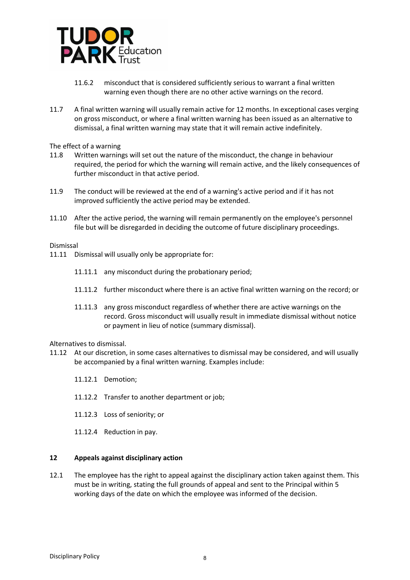

- 11.6.2 misconduct that is considered sufficiently serious to warrant a final written warning even though there are no other active warnings on the record.
- 11.7 A final written warning will usually remain active for 12 months. In exceptional cases verging on gross misconduct, or where a final written warning has been issued as an alternative to dismissal, a final written warning may state that it will remain active indefinitely.

The effect of a warning

- 11.8 Written warnings will set out the nature of the misconduct, the change in behaviour required, the period for which the warning will remain active, and the likely consequences of further misconduct in that active period.
- 11.9 The conduct will be reviewed at the end of a warning's active period and if it has not improved sufficiently the active period may be extended.
- 11.10 After the active period, the warning will remain permanently on the employee's personnel file but will be disregarded in deciding the outcome of future disciplinary proceedings.

Dismissal

- 11.11 Dismissal will usually only be appropriate for:
	- 11.11.1 any misconduct during the probationary period;
	- 11.11.2 further misconduct where there is an active final written warning on the record; or
	- 11.11.3 any gross misconduct regardless of whether there are active warnings on the record. Gross misconduct will usually result in immediate dismissal without notice or payment in lieu of notice (summary dismissal).

#### Alternatives to dismissal.

- 11.12 At our discretion, in some cases alternatives to dismissal may be considered, and will usually be accompanied by a final written warning. Examples include:
	- 11.12.1 Demotion;
	- 11.12.2 Transfer to another department or job;
	- 11.12.3 Loss of seniority; or
	- 11.12.4 Reduction in pay.

#### **12 Appeals against disciplinary action**

12.1 The employee has the right to appeal against the disciplinary action taken against them. This must be in writing, stating the full grounds of appeal and sent to the Principal within 5 working days of the date on which the employee was informed of the decision.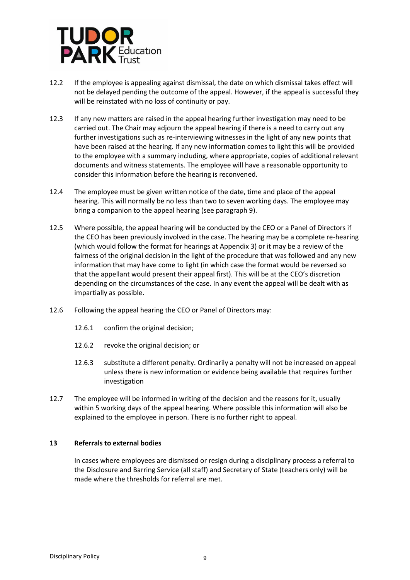

- 12.2 If the employee is appealing against dismissal, the date on which dismissal takes effect will not be delayed pending the outcome of the appeal. However, if the appeal is successful they will be reinstated with no loss of continuity or pay.
- 12.3 If any new matters are raised in the appeal hearing further investigation may need to be carried out. The Chair may adjourn the appeal hearing if there is a need to carry out any further investigations such as re-interviewing witnesses in the light of any new points that have been raised at the hearing. If any new information comes to light this will be provided to the employee with a summary including, where appropriate, copies of additional relevant documents and witness statements. The employee will have a reasonable opportunity to consider this information before the hearing is reconvened.
- 12.4 The employee must be given written notice of the date, time and place of the appeal hearing. This will normally be no less than two to seven working days. The employee may bring a companion to the appeal hearing (see paragraph 9).
- 12.5 Where possible, the appeal hearing will be conducted by the CEO or a Panel of Directors if the CEO has been previously involved in the case. The hearing may be a complete re-hearing (which would follow the format for hearings at Appendix 3) or it may be a review of the fairness of the original decision in the light of the procedure that was followed and any new information that may have come to light (in which case the format would be reversed so that the appellant would present their appeal first). This will be at the CEO's discretion depending on the circumstances of the case. In any event the appeal will be dealt with as impartially as possible.
- 12.6 Following the appeal hearing the CEO or Panel of Directors may:
	- 12.6.1 confirm the original decision;
	- 12.6.2 revoke the original decision; or
	- 12.6.3 substitute a different penalty. Ordinarily a penalty will not be increased on appeal unless there is new information or evidence being available that requires further investigation
- 12.7 The employee will be informed in writing of the decision and the reasons for it, usually within 5 working days of the appeal hearing. Where possible this information will also be explained to the employee in person. There is no further right to appeal.

## **13 Referrals to external bodies**

In cases where employees are dismissed or resign during a disciplinary process a referral to the Disclosure and Barring Service (all staff) and Secretary of State (teachers only) will be made where the thresholds for referral are met.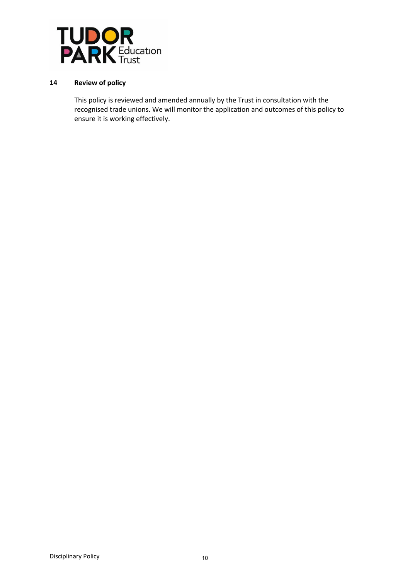

# **14 Review of policy**

This policy is reviewed and amended annually by the Trust in consultation with the recognised trade unions. We will monitor the application and outcomes of this policy to ensure it is working effectively.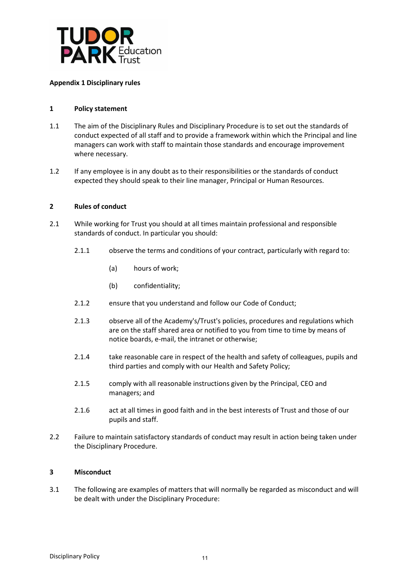

# **Appendix 1 Disciplinary rules**

# **1 Policy statement**

- 1.1 The aim of the Disciplinary Rules and Disciplinary Procedure is to set out the standards of conduct expected of all staff and to provide a framework within which the Principal and line managers can work with staff to maintain those standards and encourage improvement where necessary.
- 1.2 If any employee is in any doubt as to their responsibilities or the standards of conduct expected they should speak to their line manager, Principal or Human Resources.

## **2 Rules of conduct**

- 2.1 While working for Trust you should at all times maintain professional and responsible standards of conduct. In particular you should:
	- 2.1.1 observe the terms and conditions of your contract, particularly with regard to:
		- (a) hours of work;
		- (b) confidentiality;
	- 2.1.2 ensure that you understand and follow our Code of Conduct;
	- 2.1.3 observe all of the Academy's/Trust's policies, procedures and regulations which are on the staff shared area or notified to you from time to time by means of notice boards, e-mail, the intranet or otherwise;
	- 2.1.4 take reasonable care in respect of the health and safety of colleagues, pupils and third parties and comply with our Health and Safety Policy;
	- 2.1.5 comply with all reasonable instructions given by the Principal, CEO and managers; and
	- 2.1.6 act at all times in good faith and in the best interests of Trust and those of our pupils and staff.
- 2.2 Failure to maintain satisfactory standards of conduct may result in action being taken under the Disciplinary Procedure.

# **3 Misconduct**

3.1 The following are examples of matters that will normally be regarded as misconduct and will be dealt with under the Disciplinary Procedure: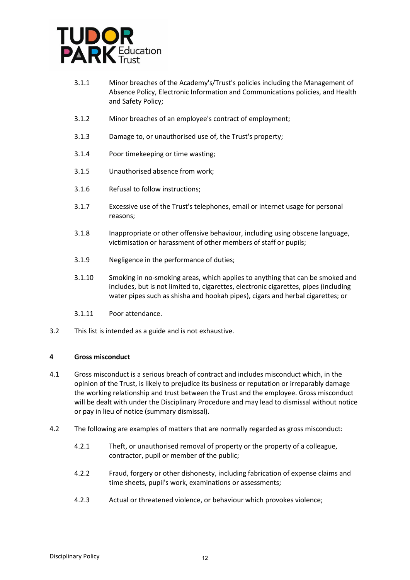

- 3.1.1 Minor breaches of the Academy's/Trust's policies including the Management of Absence Policy, Electronic Information and Communications policies, and Health and Safety Policy;
- 3.1.2 Minor breaches of an employee's contract of employment;
- 3.1.3 Damage to, or unauthorised use of, the Trust's property;
- 3.1.4 Poor timekeeping or time wasting;
- 3.1.5 Unauthorised absence from work;
- 3.1.6 Refusal to follow instructions;
- 3.1.7 Excessive use of the Trust's telephones, email or internet usage for personal reasons;
- 3.1.8 Inappropriate or other offensive behaviour, including using obscene language, victimisation or harassment of other members of staff or pupils;
- 3.1.9 Negligence in the performance of duties;
- 3.1.10 Smoking in no-smoking areas, which applies to anything that can be smoked and includes, but is not limited to, cigarettes, electronic cigarettes, pipes (including water pipes such as shisha and hookah pipes), cigars and herbal cigarettes; or
- 3.1.11 Poor attendance.
- 3.2 This list is intended as a guide and is not exhaustive.

## **4 Gross misconduct**

- 4.1 Gross misconduct is a serious breach of contract and includes misconduct which, in the opinion of the Trust, is likely to prejudice its business or reputation or irreparably damage the working relationship and trust between the Trust and the employee. Gross misconduct will be dealt with under the Disciplinary Procedure and may lead to dismissal without notice or pay in lieu of notice (summary dismissal).
- 4.2 The following are examples of matters that are normally regarded as gross misconduct:
	- 4.2.1 Theft, or unauthorised removal of property or the property of a colleague, contractor, pupil or member of the public;
	- 4.2.2 Fraud, forgery or other dishonesty, including fabrication of expense claims and time sheets, pupil's work, examinations or assessments;
	- 4.2.3 Actual or threatened violence, or behaviour which provokes violence;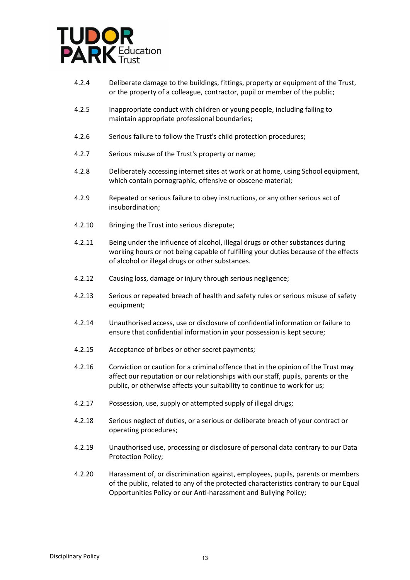

- 4.2.4 Deliberate damage to the buildings, fittings, property or equipment of the Trust, or the property of a colleague, contractor, pupil or member of the public;
- 4.2.5 Inappropriate conduct with children or young people, including failing to maintain appropriate professional boundaries;
- 4.2.6 Serious failure to follow the Trust's child protection procedures;
- 4.2.7 Serious misuse of the Trust's property or name;
- 4.2.8 Deliberately accessing internet sites at work or at home, using School equipment, which contain pornographic, offensive or obscene material;
- 4.2.9 Repeated or serious failure to obey instructions, or any other serious act of insubordination;
- 4.2.10 Bringing the Trust into serious disrepute;
- 4.2.11 Being under the influence of alcohol, illegal drugs or other substances during working hours or not being capable of fulfilling your duties because of the effects of alcohol or illegal drugs or other substances.
- 4.2.12 Causing loss, damage or injury through serious negligence;
- 4.2.13 Serious or repeated breach of health and safety rules or serious misuse of safety equipment;
- 4.2.14 Unauthorised access, use or disclosure of confidential information or failure to ensure that confidential information in your possession is kept secure;
- 4.2.15 Acceptance of bribes or other secret payments;
- 4.2.16 Conviction or caution for a criminal offence that in the opinion of the Trust may affect our reputation or our relationships with our staff, pupils, parents or the public, or otherwise affects your suitability to continue to work for us;
- 4.2.17 Possession, use, supply or attempted supply of illegal drugs;
- 4.2.18 Serious neglect of duties, or a serious or deliberate breach of your contract or operating procedures;
- 4.2.19 Unauthorised use, processing or disclosure of personal data contrary to our Data Protection Policy;
- 4.2.20 Harassment of, or discrimination against, employees, pupils, parents or members of the public, related to any of the protected characteristics contrary to our Equal Opportunities Policy or our Anti-harassment and Bullying Policy;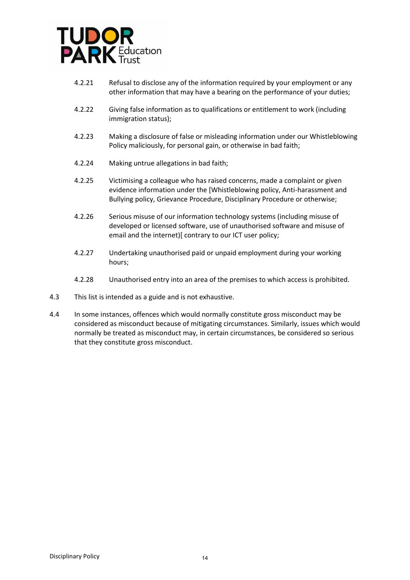

- 4.2.21 Refusal to disclose any of the information required by your employment or any other information that may have a bearing on the performance of your duties;
- 4.2.22 Giving false information as to qualifications or entitlement to work (including immigration status);
- 4.2.23 Making a disclosure of false or misleading information under our Whistleblowing Policy maliciously, for personal gain, or otherwise in bad faith;
- 4.2.24 Making untrue allegations in bad faith;
- 4.2.25 Victimising a colleague who has raised concerns, made a complaint or given evidence information under the [Whistleblowing policy, Anti-harassment and Bullying policy, Grievance Procedure, Disciplinary Procedure or otherwise;
- 4.2.26 Serious misuse of our information technology systems (including misuse of developed or licensed software, use of unauthorised software and misuse of email and the internet)[ contrary to our ICT user policy;
- 4.2.27 Undertaking unauthorised paid or unpaid employment during your working hours;
- 4.2.28 Unauthorised entry into an area of the premises to which access is prohibited.
- 4.3 This list is intended as a guide and is not exhaustive.
- 4.4 In some instances, offences which would normally constitute gross misconduct may be considered as misconduct because of mitigating circumstances. Similarly, issues which would normally be treated as misconduct may, in certain circumstances, be considered so serious that they constitute gross misconduct.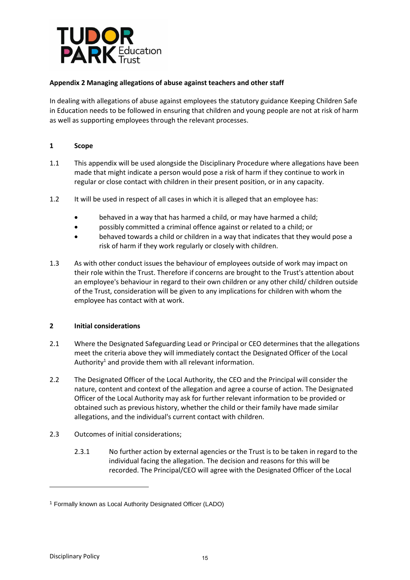

# **Appendix 2 Managing allegations of abuse against teachers and other staff**

In dealing with allegations of abuse against employees the statutory guidance Keeping Children Safe in Education needs to be followed in ensuring that children and young people are not at risk of harm as well as supporting employees through the relevant processes.

# **1 Scope**

- 1.1 This appendix will be used alongside the Disciplinary Procedure where allegations have been made that might indicate a person would pose a risk of harm if they continue to work in regular or close contact with children in their present position, or in any capacity.
- 1.2 It will be used in respect of all cases in which it is alleged that an employee has:
	- behaved in a way that has harmed a child, or may have harmed a child;
	- possibly committed a criminal offence against or related to a child; or
	- behaved towards a child or children in a way that indicates that they would pose a risk of harm if they work regularly or closely with children.
- 1.3 As with other conduct issues the behaviour of employees outside of work may impact on their role within the Trust. Therefore if concerns are brought to the Trust's attention about an employee's behaviour in regard to their own children or any other child/ children outside of the Trust, consideration will be given to any implications for children with whom the employee has contact with at work.

# **2 Initial considerations**

- 2.1 Where the Designated Safeguarding Lead or Principal or CEO determines that the allegations meet the criteria above they will immediately contact the Designated Officer of the Local Authority<sup>1</sup> and provide them with all relevant information.
- 2.2 The Designated Officer of the Local Authority, the CEO and the Principal will consider the nature, content and context of the allegation and agree a course of action. The Designated Officer of the Local Authority may ask for further relevant information to be provided or obtained such as previous history, whether the child or their family have made similar allegations, and the individual's current contact with children.
- 2.3 Outcomes of initial considerations;
	- 2.3.1 No further action by external agencies or the Trust is to be taken in regard to the individual facing the allegation. The decision and reasons for this will be recorded. The Principal/CEO will agree with the Designated Officer of the Local

-

<sup>1</sup> Formally known as Local Authority Designated Officer (LADO)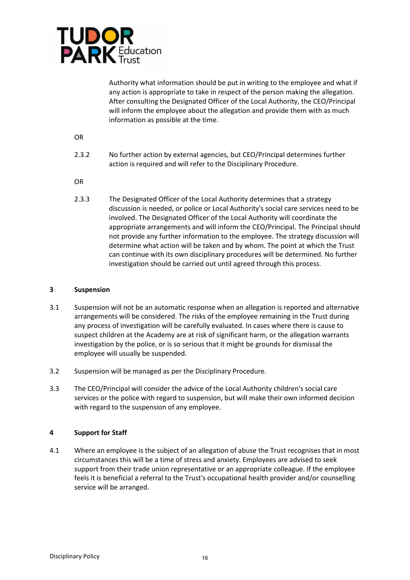

Authority what information should be put in writing to the employee and what if any action is appropriate to take in respect of the person making the allegation. After consulting the Designated Officer of the Local Authority, the CEO/Principal will inform the employee about the allegation and provide them with as much information as possible at the time.

OR

- 2.3.2 No further action by external agencies, but CEO/Principal determines further action is required and will refer to the Disciplinary Procedure.
- OR
- 2.3.3 The Designated Officer of the Local Authority determines that a strategy discussion is needed, or police or Local Authority's social care services need to be involved. The Designated Officer of the Local Authority will coordinate the appropriate arrangements and will inform the CEO/Principal. The Principal should not provide any further information to the employee. The strategy discussion will determine what action will be taken and by whom. The point at which the Trust can continue with its own disciplinary procedures will be determined. No further investigation should be carried out until agreed through this process.

## **3 Suspension**

- 3.1 Suspension will not be an automatic response when an allegation is reported and alternative arrangements will be considered. The risks of the employee remaining in the Trust during any process of investigation will be carefully evaluated. In cases where there is cause to suspect children at the Academy are at risk of significant harm, or the allegation warrants investigation by the police, or is so serious that it might be grounds for dismissal the employee will usually be suspended.
- 3.2 Suspension will be managed as per the Disciplinary Procedure.
- 3.3 The CEO/Principal will consider the advice of the Local Authority children's social care services or the police with regard to suspension, but will make their own informed decision with regard to the suspension of any employee.

# **4 Support for Staff**

4.1 Where an employee is the subject of an allegation of abuse the Trust recognises that in most circumstances this will be a time of stress and anxiety. Employees are advised to seek support from their trade union representative or an appropriate colleague. If the employee feels it is beneficial a referral to the Trust's occupational health provider and/or counselling service will be arranged.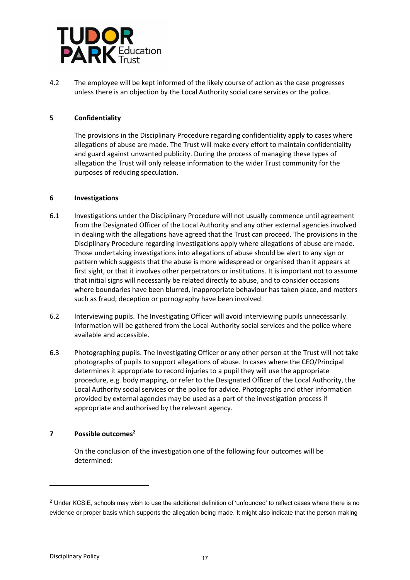

4.2 The employee will be kept informed of the likely course of action as the case progresses unless there is an objection by the Local Authority social care services or the police.

# **5 Confidentiality**

The provisions in the Disciplinary Procedure regarding confidentiality apply to cases where allegations of abuse are made. The Trust will make every effort to maintain confidentiality and guard against unwanted publicity. During the process of managing these types of allegation the Trust will only release information to the wider Trust community for the purposes of reducing speculation.

## **6 Investigations**

- 6.1 Investigations under the Disciplinary Procedure will not usually commence until agreement from the Designated Officer of the Local Authority and any other external agencies involved in dealing with the allegations have agreed that the Trust can proceed. The provisions in the Disciplinary Procedure regarding investigations apply where allegations of abuse are made. Those undertaking investigations into allegations of abuse should be alert to any sign or pattern which suggests that the abuse is more widespread or organised than it appears at first sight, or that it involves other perpetrators or institutions. It is important not to assume that initial signs will necessarily be related directly to abuse, and to consider occasions where boundaries have been blurred, inappropriate behaviour has taken place, and matters such as fraud, deception or pornography have been involved.
- 6.2 Interviewing pupils. The Investigating Officer will avoid interviewing pupils unnecessarily. Information will be gathered from the Local Authority social services and the police where available and accessible.
- 6.3 Photographing pupils. The Investigating Officer or any other person at the Trust will not take photographs of pupils to support allegations of abuse. In cases where the CEO/Principal determines it appropriate to record injuries to a pupil they will use the appropriate procedure, e.g. body mapping, or refer to the Designated Officer of the Local Authority, the Local Authority social services or the police for advice. Photographs and other information provided by external agencies may be used as a part of the investigation process if appropriate and authorised by the relevant agency.

# **7 Possible outcomes<sup>2</sup>**

On the conclusion of the investigation one of the following four outcomes will be determined:

-

 $2$  Under KCSiE, schools may wish to use the additional definition of 'unfounded' to reflect cases where there is no evidence or proper basis which supports the allegation being made. It might also indicate that the person making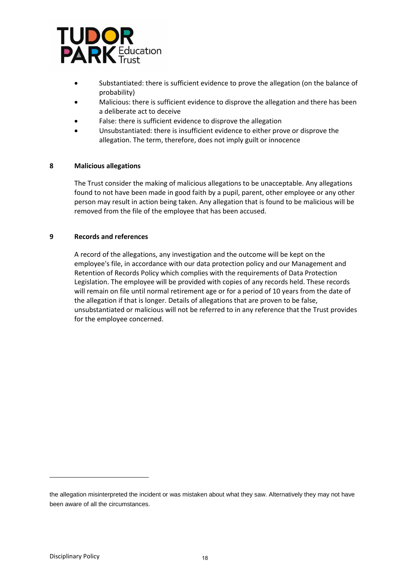

- Substantiated: there is sufficient evidence to prove the allegation (on the balance of probability)
- Malicious: there is sufficient evidence to disprove the allegation and there has been a deliberate act to deceive
- False: there is sufficient evidence to disprove the allegation
- Unsubstantiated: there is insufficient evidence to either prove or disprove the allegation. The term, therefore, does not imply guilt or innocence

## **8 Malicious allegations**

The Trust consider the making of malicious allegations to be unacceptable. Any allegations found to not have been made in good faith by a pupil, parent, other employee or any other person may result in action being taken. Any allegation that is found to be malicious will be removed from the file of the employee that has been accused.

#### **9 Records and references**

A record of the allegations, any investigation and the outcome will be kept on the employee's file, in accordance with our data protection policy and our Management and Retention of Records Policy which complies with the requirements of Data Protection Legislation. The employee will be provided with copies of any records held. These records will remain on file until normal retirement age or for a period of 10 years from the date of the allegation if that is longer. Details of allegations that are proven to be false, unsubstantiated or malicious will not be referred to in any reference that the Trust provides for the employee concerned.

-

the allegation misinterpreted the incident or was mistaken about what they saw. Alternatively they may not have been aware of all the circumstances.